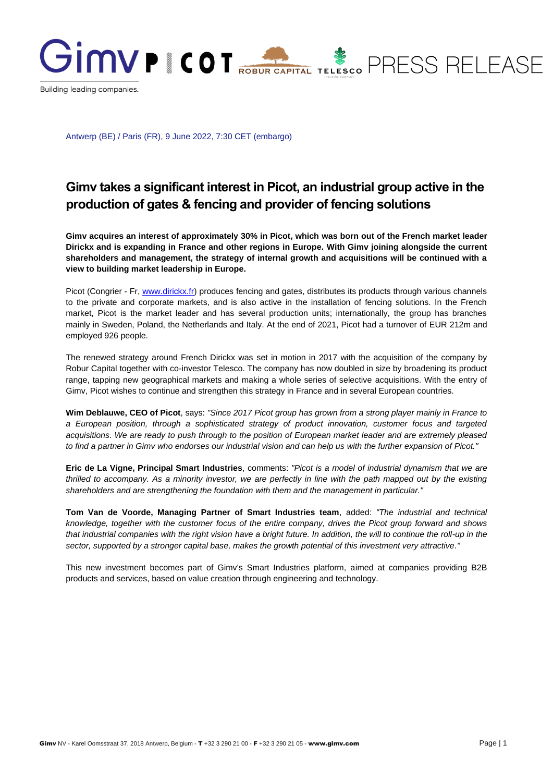

Antwerp (BE) / Paris (FR), 9 June 2022, 7:30 CET (embargo)

## **Gimv takes a significant interest in Picot, an industrial group active in the production of gates & fencing and provider of fencing solutions**

**Gimv acquires an interest of approximately 30% in Picot, which was born out of the French market leader Dirickx and is expanding in France and other regions in Europe. With Gimv joining alongside the current shareholders and management, the strategy of internal growth and acquisitions will be continued with a view to building market leadership in Europe.**

Picot (Congrier - Fr, [www.dirickx.fr\)](file:///C:/Users/EricR/AppData/Local/Microsoft/Windows/INetCache/Content.Outlook/U1B3KPNZ/www.dirickx.fr) produces fencing and gates, distributes its products through various channels to the private and corporate markets, and is also active in the installation of fencing solutions. In the French market, Picot is the market leader and has several production units; internationally, the group has branches mainly in Sweden, Poland, the Netherlands and Italy. At the end of 2021, Picot had a turnover of EUR 212m and employed 926 people.

The renewed strategy around French Dirickx was set in motion in 2017 with the acquisition of the company by Robur Capital together with co-investor Telesco. The company has now doubled in size by broadening its product range, tapping new geographical markets and making a whole series of selective acquisitions. With the entry of Gimv, Picot wishes to continue and strengthen this strategy in France and in several European countries.

**Wim Deblauwe, CEO of Picot**, says: *"Since 2017 Picot group has grown from a strong player mainly in France to a European position, through a sophisticated strategy of product innovation, customer focus and targeted acquisitions. We are ready to push through to the position of European market leader and are extremely pleased to find a partner in Gimv who endorses our industrial vision and can help us with the further expansion of Picot."*

**Eric de La Vigne, Principal Smart Industries**, comments: *"Picot is a model of industrial dynamism that we are thrilled to accompany. As a minority investor, we are perfectly in line with the path mapped out by the existing shareholders and are strengthening the foundation with them and the management in particular."*

**Tom Van de Voorde, Managing Partner of Smart Industries team**, added: *"The industrial and technical knowledge, together with the customer focus of the entire company, drives the Picot group forward and shows that industrial companies with the right vision have a bright future. In addition, the will to continue the roll-up in the sector, supported by a stronger capital base, makes the growth potential of this investment very attractive."*

This new investment becomes part of Gimv's Smart Industries platform, aimed at companies providing B2B products and services, based on value creation through engineering and technology.